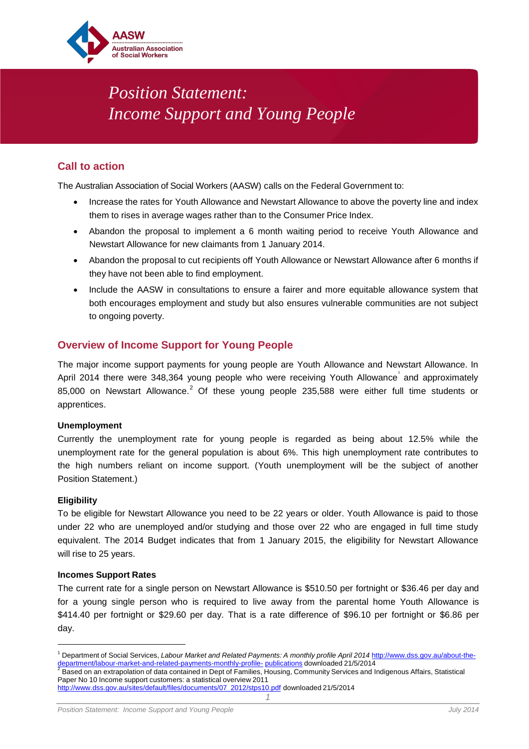

# *Position Statement: Income Support and Young People*

# **Call to action**

The Australian Association of Social Workers (AASW) calls on the Federal Government to:

- Increase the rates for Youth Allowance and Newstart Allowance to above the poverty line and index them to rises in average wages rather than to the Consumer Price Index.
- Abandon the proposal to implement a 6 month waiting period to receive Youth Allowance and Newstart Allowance for new claimants from 1 January 2014.
- Abandon the proposal to cut recipients off Youth Allowance or Newstart Allowance after 6 months if they have not been able to find employment.
- Include the AASW in consultations to ensure a fairer and more equitable allowance system that both encourages employment and study but also ensures vulnerable communities are not subject to ongoing poverty.

# **Overview of Income Support for Young People**

The major income support payments for young people are Youth Allowance and Newstart Allowance. In April 20[1](#page-0-0)4 there were 348,364 young people who were receiving Youth Allowance and approximately 85,000 on Newstart Allowance.<sup>[2](#page-0-1)</sup> Of these young people 235,588 were either full time students or apprentices.

## **Unemployment**

Currently the unemployment rate for young people is regarded as being about 12.5% while the unemployment rate for the general population is about 6%. This high unemployment rate contributes to the high numbers reliant on income support. (Youth unemployment will be the subject of another Position Statement.)

#### **Eligibility**

 $\overline{\phantom{a}}$ 

To be eligible for Newstart Allowance you need to be 22 years or older. Youth Allowance is paid to those under 22 who are unemployed and/or studying and those over 22 who are engaged in full time study equivalent. The 2014 Budget indicates that from 1 January 2015, the eligibility for Newstart Allowance will rise to 25 years.

#### **Incomes Support Rates**

The current rate for a single person on Newstart Allowance is \$510.50 per fortnight or \$36.46 per day and for a young single person who is required to live away from the parental home Youth Allowance is \$414.40 per fortnight or \$29.60 per day. That is a rate difference of \$96.10 per fortnight or \$6.86 per day.

<span id="page-0-0"></span><sup>1</sup> Department of Social Services, *Labour Market and Related Payments: A monthly profile April 2014* [http://www.dss.gov.au/about-the](http://www.dss.gov.au/about-the-department/labour-market-and-related-payments-monthly-profile-publications)[department/labour-market-and-related-payments-monthly-profile-](http://www.dss.gov.au/about-the-department/labour-market-and-related-payments-monthly-profile-publications) [publications](http://www.dss.gov.au/about-the-department/labour-market-and-related-payments-monthly-profile-publications) downloaded 21/5/2014<br><sup>2</sup> Based on an extrapolation of data contained in Dept of Families, Housing, Community Services and Indigenous Affairs, Stat

<span id="page-0-1"></span>Paper No 10 Income support customers: a statistical overview 2011

*<sup>1</sup>* [http://www.dss.gov.au/sites/default/files/documents/07\\_2012/stps10.pdf](http://www.dss.gov.au/sites/default/files/documents/07_2012/stps10.pdf) downloaded 21/5/2014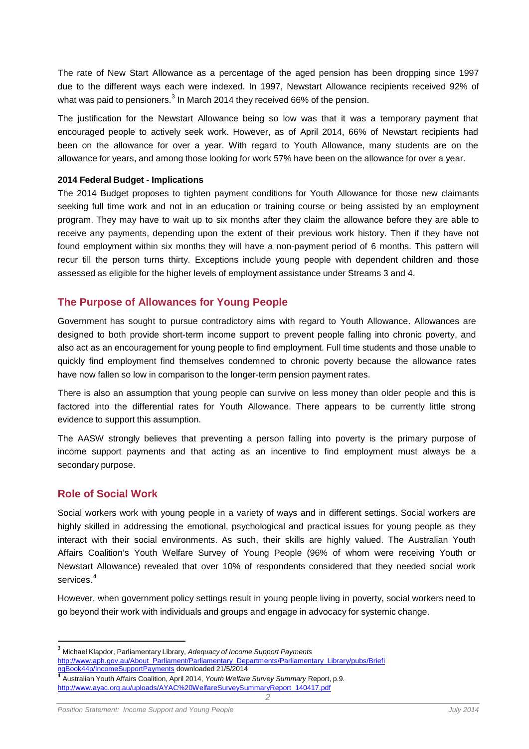The rate of New Start Allowance as a percentage of the aged pension has been dropping since 1997 due to the different ways each were indexed. In 1997, Newstart Allowance recipients received 92% of what was paid to pensioners. $^3$  $^3$  In March 2014 they received 66% of the pension.

The justification for the Newstart Allowance being so low was that it was a temporary payment that encouraged people to actively seek work. However, as of April 2014, 66% of Newstart recipients had been on the allowance for over a year. With regard to Youth Allowance, many students are on the allowance for years, and among those looking for work 57% have been on the allowance for over a year.

#### **2014 Federal Budget - Implications**

The 2014 Budget proposes to tighten payment conditions for Youth Allowance for those new claimants seeking full time work and not in an education or training course or being assisted by an employment program. They may have to wait up to six months after they claim the allowance before they are able to receive any payments, depending upon the extent of their previous work history. Then if they have not found employment within six months they will have a non-payment period of 6 months. This pattern will recur till the person turns thirty. Exceptions include young people with dependent children and those assessed as eligible for the higher levels of employment assistance under Streams 3 and 4.

## **The Purpose of Allowances for Young People**

Government has sought to pursue contradictory aims with regard to Youth Allowance. Allowances are designed to both provide short-term income support to prevent people falling into chronic poverty, and also act as an encouragement for young people to find employment. Full time students and those unable to quickly find employment find themselves condemned to chronic poverty because the allowance rates have now fallen so low in comparison to the longer-term pension payment rates.

There is also an assumption that young people can survive on less money than older people and this is factored into the differential rates for Youth Allowance. There appears to be currently little strong evidence to support this assumption.

The AASW strongly believes that preventing a person falling into poverty is the primary purpose of income support payments and that acting as an incentive to find employment must always be a secondary purpose.

## **Role of Social Work**

Social workers work with young people in a variety of ways and in different settings. Social workers are highly skilled in addressing the emotional, psychological and practical issues for young people as they interact with their social environments. As such, their skills are highly valued. The Australian Youth Affairs Coalition's Youth Welfare Survey of Young People (96% of whom were receiving Youth or Newstart Allowance) revealed that over 10% of respondents considered that they needed social work services. [4](#page-1-1)

However, when government policy settings result in young people living in poverty, social workers need to go beyond their work with individuals and groups and engage in advocacy for systemic change.

<span id="page-1-0"></span> <sup>3</sup> Michael Klapdor, Parliamentary Library, *Adequacy of Income Support Payments*  [http://www.aph.gov.au/About\\_Parliament/Parliamentary\\_Departments/Parliamentary\\_Library/pubs/Briefi](http://www.aph.gov.au/About_Parliament/Parliamentary_Departments/Parliamentary_Library/pubs/BriefingBook44p/IncomeSupportPayments)ngBook44p/IncomeSupportPayments downloaded 21/5/2014

<span id="page-1-1"></span>*<sup>2</sup>* Australian Youth Affairs Coalition, April 2014, *Youth Welfare Survey Summary* Report, p.9. [http://www.ayac.org.au/uploads/AYAC%20WelfareSurveySummaryReport\\_140417.pdf](http://www.ayac.org.au/uploads/AYAC%20WelfareSurveySummaryReport_140417.pdf)